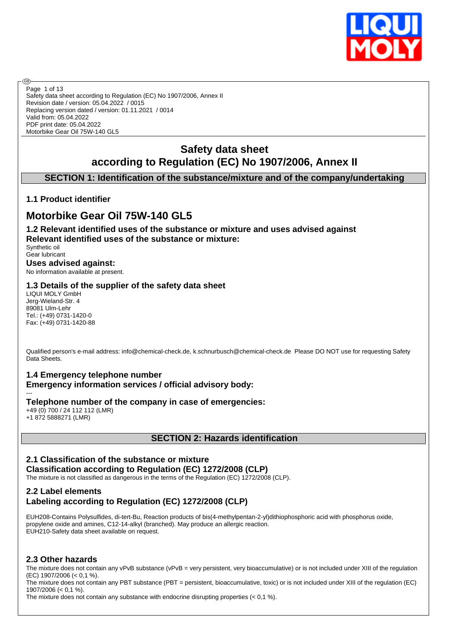

Safety data sheet according to Regulation (EC) No 1907/2006, Annex II Revision date / version: 05.04.2022 / 0015 Replacing version dated / version: 01.11.2021 / 0014 Valid from: 05.04.2022 PDF print date: 05.04.2022 Motorbike Gear Oil 75W-140 GL5 Page 1 of 13

# **Safety data sheet according to Regulation (EC) No 1907/2006, Annex II**

## **SECTION 1: Identification of the substance/mixture and of the company/undertaking**

## **1.1 Product identifier**

൹

# **Motorbike Gear Oil 75W-140 GL5**

**1.2 Relevant identified uses of the substance or mixture and uses advised against Relevant identified uses of the substance or mixture:**

Synthetic oil Gear lubricant **Uses advised against:**

No information available at present.

#### **1.3 Details of the supplier of the safety data sheet**

LIQUI MOLY GmbH Jerg-Wieland-Str. 4 89081 Ulm-Lehr Tel.: (+49) 0731-1420-0 Fax: (+49) 0731-1420-88

Qualified person's e-mail address: info@chemical-check.de, k.schnurbusch@chemical-check.de Please DO NOT use for requesting Safety Data Sheets.

## **1.4 Emergency telephone number**

**Emergency information services / official advisory body:**

--- **Telephone number of the company in case of emergencies:** +49 (0) 700 / 24 112 112 (LMR)

+1 872 5888271 (LMR)

## **SECTION 2: Hazards identification**

## **2.1 Classification of the substance or mixture Classification according to Regulation (EC) 1272/2008 (CLP)**

The mixture is not classified as dangerous in the terms of the Regulation (EC) 1272/2008 (CLP).

## **2.2 Label elements Labeling according to Regulation (EC) 1272/2008 (CLP)**

EUH208-Contains Polysulfides, di-tert-Bu, Reaction products of bis(4-methylpentan-2-yl)dithiophosphoric acid with phosphorus oxide, propylene oxide and amines, C12-14-alkyl (branched). May produce an allergic reaction. EUH210-Safety data sheet available on request.

## **2.3 Other hazards**

The mixture does not contain any vPvB substance (vPvB = very persistent, very bioaccumulative) or is not included under XIII of the regulation (EC) 1907/2006 (< 0,1 %).

The mixture does not contain any PBT substance (PBT = persistent, bioaccumulative, toxic) or is not included under XIII of the regulation (EC) 1907/2006 (< 0,1 %).

The mixture does not contain any substance with endocrine disrupting properties (< 0,1 %).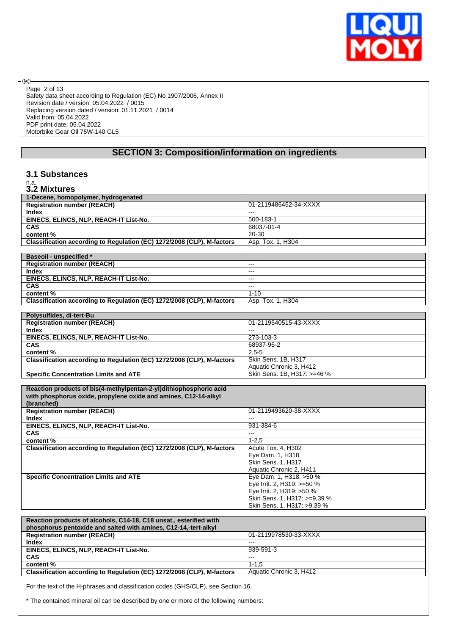

Safety data sheet according to Regulation (EC) No 1907/2006, Annex II Revision date / version: 05.04.2022 / 0015 Replacing version dated / version: 01.11.2021 / 0014 Valid from: 05.04.2022 PDF print date: 05.04.2022 Motorbike Gear Oil 75W-140 GL5 Page 2 of 13

## **SECTION 3: Composition/information on ingredients**

#### **3.1 Substances**

# n.a. **3.2 Mixtures**

⊛

| 1-Decene, homopolymer, hydrogenated                                    |                              |
|------------------------------------------------------------------------|------------------------------|
| <b>Registration number (REACH)</b>                                     | 01-2119486452-34-XXXX        |
| <b>Index</b>                                                           | $\overline{a}$               |
| EINECS, ELINCS, NLP, REACH-IT List-No.                                 | 500-183-1                    |
| <b>CAS</b>                                                             | 68037-01-4                   |
| content%                                                               | 20-30                        |
| Classification according to Regulation (EC) 1272/2008 (CLP), M-factors |                              |
|                                                                        | Asp. Tox. 1, H304            |
|                                                                        |                              |
| <b>Baseoil - unspecified *</b>                                         |                              |
| <b>Registration number (REACH)</b>                                     | $\overline{a}$               |
| <b>Index</b>                                                           | $\overline{a}$               |
| EINECS, ELINCS, NLP, REACH-IT List-No.                                 | $-$                          |
| CAS                                                                    | $\overline{a}$               |
| content%                                                               | $1 - 10$                     |
| Classification according to Regulation (EC) 1272/2008 (CLP), M-factors | Asp. Tox. 1, H304            |
|                                                                        |                              |
| Polysulfides, di-tert-Bu                                               |                              |
| <b>Registration number (REACH)</b>                                     | 01-2119540515-43-XXXX        |
| <b>Index</b>                                                           | $-$                          |
| EINECS, ELINCS, NLP, REACH-IT List-No.                                 | 273-103-3                    |
| <b>CAS</b>                                                             | 68937-96-2                   |
|                                                                        |                              |
| content%                                                               | $2.5 - 5$                    |
| Classification according to Regulation (EC) 1272/2008 (CLP), M-factors | Skin Sens. 1B, H317          |
|                                                                        | Aquatic Chronic 3, H412      |
| <b>Specific Concentration Limits and ATE</b>                           | Skin Sens. 1B, H317: >=46 %  |
|                                                                        |                              |
|                                                                        |                              |
| Reaction products of bis(4-methylpentan-2-yl)dithiophosphoric acid     |                              |
| with phosphorus oxide, propylene oxide and amines, C12-14-alkyl        |                              |
| (branched)                                                             |                              |
| <b>Registration number (REACH)</b>                                     | 01-2119493620-38-XXXX        |
| <b>Index</b>                                                           | $\sim$                       |
|                                                                        |                              |
| EINECS, ELINCS, NLP, REACH-IT List-No.                                 | 931-384-6<br>$\sim$          |
| <b>CAS</b>                                                             |                              |
| content%                                                               | $1 - 2.5$                    |
| Classification according to Regulation (EC) 1272/2008 (CLP), M-factors | Acute Tox. 4, H302           |
|                                                                        | Eye Dam. 1, H318             |
|                                                                        | Skin Sens. 1, H317           |
|                                                                        | Aquatic Chronic 2, H411      |
| <b>Specific Concentration Limits and ATE</b>                           | Eye Dam. 1, H318: >50 %      |
|                                                                        | Eye Irrit. 2, H319: >=50 %   |
|                                                                        | Eye Irrit. 2, H319: >50 %    |
|                                                                        | Skin Sens. 1, H317: >=9,39 % |
|                                                                        | Skin Sens. 1, H317: >9,39 %  |
|                                                                        |                              |
| Reaction products of alcohols, C14-18, C18 unsat., esterified with     |                              |
| phosphorus pentoxide and salted with amines, C12-14,-tert-alkyl        |                              |
| <b>Registration number (REACH)</b>                                     | 01-2119978530-33-XXXX        |
| <b>Index</b>                                                           | $\overline{a}$               |
| EINECS, ELINCS, NLP, REACH-IT List-No.                                 | 939-591-3                    |
| <b>CAS</b>                                                             | $\overline{a}$               |
|                                                                        | $1 - 1.5$                    |
| content%                                                               |                              |

For the text of the H-phrases and classification codes (GHS/CLP), see Section 16.

\* The contained mineral oil can be described by one or more of the following numbers: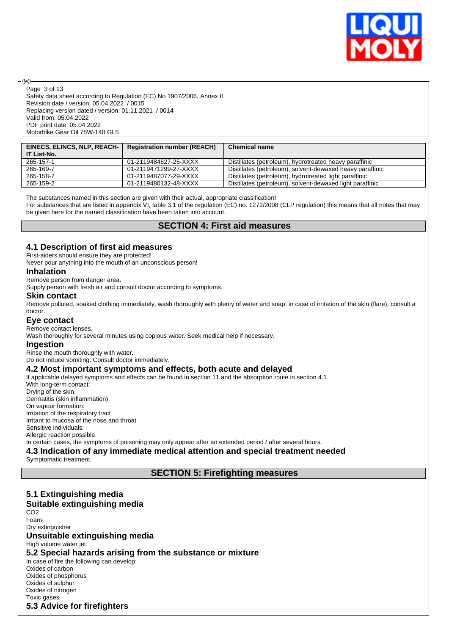

Safety data sheet according to Regulation (EC) No 1907/2006, Annex II Revision date / version: 05.04.2022 / 0015 Replacing version dated / version: 01.11.2021 / 0014 Valid from: 05.04.2022 PDF print date: 05.04.2022 Motorbike Gear Oil 75W-140 GL5 Page 3 of 13

| EINECS, ELINCS, NLP, REACH- | <b>Registration number (REACH)</b> | <b>Chemical name</b>                                      |
|-----------------------------|------------------------------------|-----------------------------------------------------------|
| IT List-No.                 |                                    |                                                           |
| 265-157-1                   | 01-2119484627-25-XXXX              | Distillates (petroleum), hydrotreated heavy paraffinic    |
| 265-169-7                   | 01-2119471299-27-XXXX              | Distillates (petroleum), solvent-dewaxed heavy paraffinic |
| 265-158-7                   | 01-2119487077-29-XXXX              | Distillates (petroleum), hydrotreated light paraffinic    |
| 265-159-2                   | 01-2119480132-48-XXXX              | Distillates (petroleum), solvent-dewaxed light paraffinic |

The substances named in this section are given with their actual, appropriate classification!

For substances that are listed in appendix VI, table 3.1 of the regulation (EC) no. 1272/2008 (CLP regulation) this means that all notes that may be given here for the named classification have been taken into account.

## **SECTION 4: First aid measures**

#### **4.1 Description of first aid measures**

First-aiders should ensure they are protected!

Never pour anything into the mouth of an unconscious person!

#### **Inhalation**

൹

Remove person from danger area.

Supply person with fresh air and consult doctor according to symptoms.

#### **Skin contact**

Remove polluted, soaked clothing immediately, wash thoroughly with plenty of water and soap, in case of irritation of the skin (flare), consult a doctor.

#### **Eye contact**

Remove contact lenses.

Wash thoroughly for several minutes using copious water. Seek medical help if necessary.

#### **Ingestion**

Rinse the mouth thoroughly with water.

Do not induce vomiting. Consult doctor immediately.

#### **4.2 Most important symptoms and effects, both acute and delayed**

If applicable delayed symptoms and effects can be found in section 11 and the absorption route in section 4.1. With long-term contact: Drying of the skin.

Dermatitis (skin inflammation) On vapour formation: Irritation of the respiratory tract Irritant to mucosa of the nose and throat

Sensitive individuals: Allergic reaction possible.

In certain cases, the symptoms of poisoning may only appear after an extended period / after several hours.

## **4.3 Indication of any immediate medical attention and special treatment needed**

Symptomatic treatment.

**SECTION 5: Firefighting measures**

#### **5.1 Extinguishing media Suitable extinguishing media** CO2 Foam Dry extinguisher **Unsuitable extinguishing media** High volume water jet **5.2 Special hazards arising from the substance or mixture** In case of fire the following can develop: Oxides of carbon Oxides of phosphorus Oxides of sulphur Oxides of nitrogen Toxic gases **5.3 Advice for firefighters**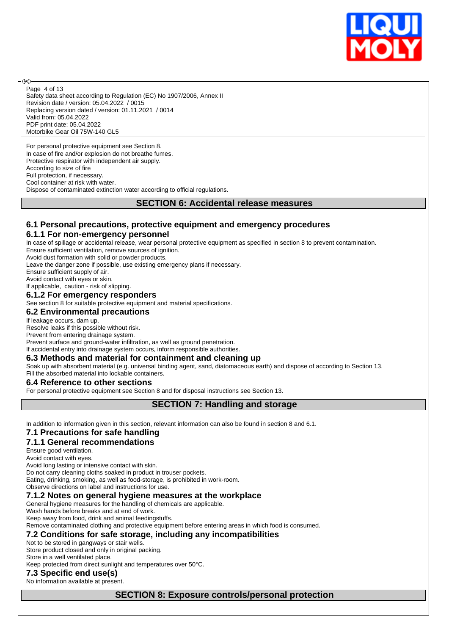

Safety data sheet according to Regulation (EC) No 1907/2006, Annex II Revision date / version: 05.04.2022 / 0015 Replacing version dated / version: 01.11.2021 / 0014 Valid from: 05.04.2022 PDF print date: 05.04.2022 Motorbike Gear Oil 75W-140 GL5 Page 4 of 13

For personal protective equipment see Section 8. In case of fire and/or explosion do not breathe fumes. Protective respirator with independent air supply. According to size of fire Full protection, if necessary. Cool container at risk with water. Dispose of contaminated extinction water according to official regulations.

## **SECTION 6: Accidental release measures**

## **6.1 Personal precautions, protective equipment and emergency procedures**

#### **6.1.1 For non-emergency personnel**

In case of spillage or accidental release, wear personal protective equipment as specified in section 8 to prevent contamination.

Ensure sufficient ventilation, remove sources of ignition.

Avoid dust formation with solid or powder products.

Leave the danger zone if possible, use existing emergency plans if necessary.

Ensure sufficient supply of air.

അ

Avoid contact with eyes or skin.

If applicable, caution - risk of slipping.

## **6.1.2 For emergency responders**

See section 8 for suitable protective equipment and material specifications.

#### **6.2 Environmental precautions**

If leakage occurs, dam up.

Resolve leaks if this possible without risk.

Prevent from entering drainage system.

Prevent surface and ground-water infiltration, as well as ground penetration.

#### If accidental entry into drainage system occurs, inform responsible authorities. **6.3 Methods and material for containment and cleaning up**

Soak up with absorbent material (e.g. universal binding agent, sand, diatomaceous earth) and dispose of according to Section 13.

Fill the absorbed material into lockable containers.

#### **6.4 Reference to other sections**

For personal protective equipment see Section 8 and for disposal instructions see Section 13.

#### **SECTION 7: Handling and storage**

In addition to information given in this section, relevant information can also be found in section 8 and 6.1.

## **7.1 Precautions for safe handling**

## **7.1.1 General recommendations**

Ensure good ventilation.

Avoid contact with eyes.

Avoid long lasting or intensive contact with skin.

Do not carry cleaning cloths soaked in product in trouser pockets.

Eating, drinking, smoking, as well as food-storage, is prohibited in work-room. Observe directions on label and instructions for use.

## **7.1.2 Notes on general hygiene measures at the workplace**

General hygiene measures for the handling of chemicals are applicable.

Wash hands before breaks and at end of work.

Keep away from food, drink and animal feedingstuffs.

Remove contaminated clothing and protective equipment before entering areas in which food is consumed.

## **7.2 Conditions for safe storage, including any incompatibilities**

Not to be stored in gangways or stair wells.

Store product closed and only in original packing. Store in a well ventilated place.

Keep protected from direct sunlight and temperatures over 50°C.

## **7.3 Specific end use(s)**

No information available at present.

## **SECTION 8: Exposure controls/personal protection**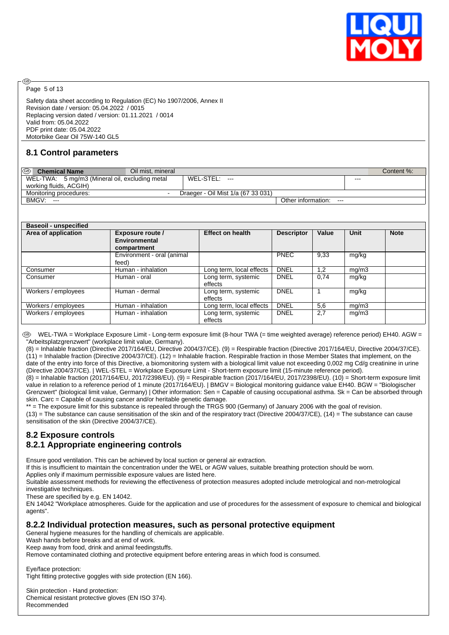

Page 5 of 13

അ

Safety data sheet according to Regulation (EC) No 1907/2006, Annex II Revision date / version: 05.04.2022 / 0015 Replacing version dated / version: 01.11.2021 / 0014 Valid from: 05.04.2022 PDF print date: 05.04.2022 Motorbike Gear Oil 75W-140 GL5

## **8.1 Control parameters**

| $\circledcirc$<br><b>Chemical Name</b><br>Oil mist, mineral |                                    |                        |         | Content %: |
|-------------------------------------------------------------|------------------------------------|------------------------|---------|------------|
| WEL-TWA: 5 mg/m3 (Mineral oil, excluding metal              | WEL-STEL: ---                      |                        | $- - -$ |            |
| working fluids, ACGIH)                                      |                                    |                        |         |            |
| Monitoring procedures:<br>$\sim$                            | Draeger - Oil Mist 1/a (67 33 031) |                        |         |            |
| BMGV: ---                                                   |                                    | Other information: --- |         |            |

| <b>Baseoil - unspecified</b> |                            |                          |                   |       |       |             |
|------------------------------|----------------------------|--------------------------|-------------------|-------|-------|-------------|
| Area of application          | <b>Exposure route /</b>    | <b>Effect on health</b>  | <b>Descriptor</b> | Value | Unit  | <b>Note</b> |
|                              | Environmental              |                          |                   |       |       |             |
|                              | compartment                |                          |                   |       |       |             |
|                              | Environment - oral (animal |                          | <b>PNEC</b>       | 9,33  | mg/kg |             |
|                              | feed)                      |                          |                   |       |       |             |
| Consumer                     | Human - inhalation         | Long term, local effects | <b>DNEL</b>       | 1.2   | mg/m3 |             |
| Consumer                     | Human - oral               | Long term, systemic      | <b>DNEL</b>       | 0,74  | mg/kg |             |
|                              |                            | effects                  |                   |       |       |             |
| Workers / employees          | Human - dermal             | Long term, systemic      | <b>DNEL</b>       |       | mg/kg |             |
|                              |                            | effects                  |                   |       |       |             |
| Workers / employees          | Human - inhalation         | Long term, local effects | <b>DNEL</b>       | 5,6   | mg/m3 |             |
| Workers / employees          | Human - inhalation         | Long term, systemic      | <b>DNEL</b>       | 2,7   | mg/m3 |             |
|                              |                            | effects                  |                   |       |       |             |

WEL-TWA = Workplace Exposure Limit - Long-term exposure limit (8-hour TWA (= time weighted average) reference period) EH40. AGW = "Arbeitsplatzgrenzwert" (workplace limit value, Germany).

(8) = Inhalable fraction (Directive 2017/164/EU, Directive 2004/37/CE). (9) = Respirable fraction (Directive 2017/164/EU, Directive 2004/37/CE). (11) = Inhalable fraction (Directive 2004/37/CE). (12) = Inhalable fraction. Respirable fraction in those Member States that implement, on the date of the entry into force of this Directive, a biomonitoring system with a biological limit value not exceeding 0,002 mg Cd/g creatinine in urine (Directive 2004/37/CE). | WEL-STEL = Workplace Exposure Limit - Short-term exposure limit (15-minute reference period).

(8) = Inhalable fraction (2017/164/EU, 2017/2398/EU). (9) = Respirable fraction (2017/164/EU, 2017/2398/EU). (10) = Short-term exposure limit value in relation to a reference period of 1 minute (2017/164/EU). | BMGV = Biological monitoring guidance value EH40. BGW = "Biologischer Grenzwert" (biological limit value, Germany) | Other information: Sen = Capable of causing occupational asthma. Sk = Can be absorbed through skin. Carc = Capable of causing cancer and/or heritable genetic damage.

\*\* = The exposure limit for this substance is repealed through the TRGS 900 (Germany) of January 2006 with the goal of revision. (13) = The substance can cause sensitisation of the skin and of the respiratory tract (Directive 2004/37/CE), (14) = The substance can cause sensitisation of the skin (Directive 2004/37/CE).

## **8.2 Exposure controls**

## **8.2.1 Appropriate engineering controls**

Ensure good ventilation. This can be achieved by local suction or general air extraction.

If this is insufficient to maintain the concentration under the WEL or AGW values, suitable breathing protection should be worn.

Applies only if maximum permissible exposure values are listed here.

Suitable assessment methods for reviewing the effectiveness of protection measures adopted include metrological and non-metrological investigative techniques.

These are specified by e.g. EN 14042.

EN 14042 "Workplace atmospheres. Guide for the application and use of procedures for the assessment of exposure to chemical and biological agents".

## **8.2.2 Individual protection measures, such as personal protective equipment**

General hygiene measures for the handling of chemicals are applicable.

Wash hands before breaks and at end of work.

Keep away from food, drink and animal feedingstuffs.

Remove contaminated clothing and protective equipment before entering areas in which food is consumed.

Eye/face protection: Tight fitting protective goggles with side protection (EN 166).

Skin protection - Hand protection: Chemical resistant protective gloves (EN ISO 374). Recommended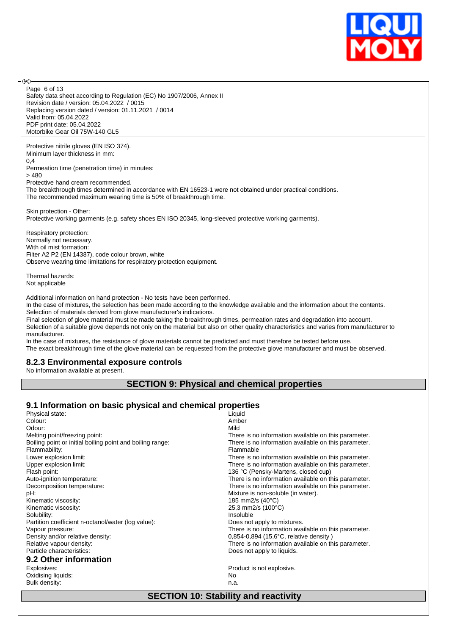

Page 6 of 13

൹

Safety data sheet according to Regulation (EC) No 1907/2006, Annex II Revision date / version: 05.04.2022 / 0015 Replacing version dated / version: 01.11.2021 / 0014 Valid from: 05.04.2022 PDF print date: 05.04.2022 Motorbike Gear Oil 75W-140 GL5

Protective nitrile gloves (EN ISO 374). Minimum layer thickness in mm: 0,4

Permeation time (penetration time) in minutes: > 480

Protective hand cream recommended.

The breakthrough times determined in accordance with EN 16523-1 were not obtained under practical conditions. The recommended maximum wearing time is 50% of breakthrough time.

Skin protection - Other: Protective working garments (e.g. safety shoes EN ISO 20345, long-sleeved protective working garments).

Respiratory protection: Normally not necessary. With oil mist formation: Filter A2 P2 (EN 14387), code colour brown, white Observe wearing time limitations for respiratory protection equipment.

Thermal hazards: Not applicable

Additional information on hand protection - No tests have been performed.

In the case of mixtures, the selection has been made according to the knowledge available and the information about the contents. Selection of materials derived from glove manufacturer's indications.

Final selection of glove material must be made taking the breakthrough times, permeation rates and degradation into account. Selection of a suitable glove depends not only on the material but also on other quality characteristics and varies from manufacturer to manufacturer.

In the case of mixtures, the resistance of glove materials cannot be predicted and must therefore be tested before use. The exact breakthrough time of the glove material can be requested from the protective glove manufacturer and must be observed.

#### **8.2.3 Environmental exposure controls**

No information available at present.

#### **SECTION 9: Physical and chemical properties**

#### **9.1 Information on basic physical and chemical properties**

| Liquid                                               |
|------------------------------------------------------|
| Amber                                                |
| Mild                                                 |
| There is no information available on this parameter. |
| There is no information available on this parameter. |
| Flammable                                            |
| There is no information available on this parameter. |
| There is no information available on this parameter. |
| 136 °C (Pensky-Martens, closed cup)                  |
| There is no information available on this parameter. |
| There is no information available on this parameter. |
| Mixture is non-soluble (in water).                   |
| 185 mm2/s (40°C)                                     |
| 25,3 mm2/s (100°C)                                   |
| Insoluble                                            |
| Does not apply to mixtures.                          |
| There is no information available on this parameter. |
| $0,854-0,894$ (15,6 $^{\circ}$ C, relative density)  |
| There is no information available on this parameter. |
| Does not apply to liquids.                           |
|                                                      |
| Product is not explosive.                            |
| No.                                                  |
| n.a.                                                 |
|                                                      |

#### **SECTION 10: Stability and reactivity**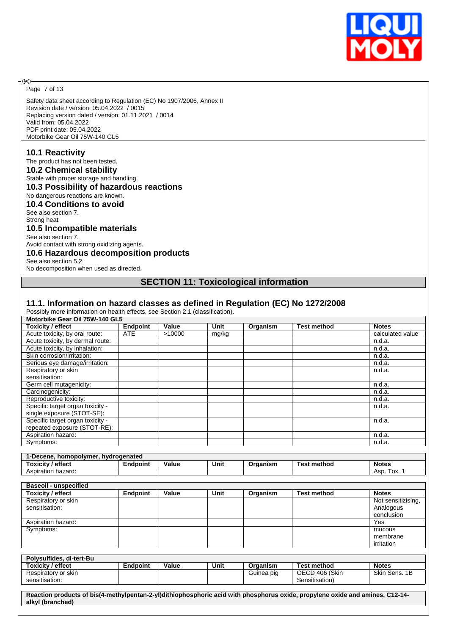

Page 7 of 13

®

Safety data sheet according to Regulation (EC) No 1907/2006, Annex II Revision date / version: 05.04.2022 / 0015 Replacing version dated / version: 01.11.2021 / 0014 Valid from: 05.04.2022 PDF print date: 05.04.2022 Motorbike Gear Oil 75W-140 GL5

#### **10.1 Reactivity**

The product has not been tested.

## **10.2 Chemical stability**

Stable with proper storage and handling.

## **10.3 Possibility of hazardous reactions**

#### No dangerous reactions are known. **10.4 Conditions to avoid**

See also section 7. Strong heat **10.5 Incompatible materials** See also section 7.

Avoid contact with strong oxidizing agents.

#### **10.6 Hazardous decomposition products**

See also section 5.2

No decomposition when used as directed.

#### **SECTION 11: Toxicological information**

#### **11.1. Information on hazard classes as defined in Regulation (EC) No 1272/2008**

Possibly more information on health effects, see Section 2.1 (classification).

| Motorbike Gear Oil 75W-140 GL5      |                 |        |       |            |                    |                                 |
|-------------------------------------|-----------------|--------|-------|------------|--------------------|---------------------------------|
| <b>Toxicity / effect</b>            | <b>Endpoint</b> | Value  | Unit  | Organism   | <b>Test method</b> | <b>Notes</b>                    |
| Acute toxicity, by oral route:      | <b>ATE</b>      | >10000 | mg/kg |            |                    | calculated value                |
| Acute toxicity, by dermal route:    |                 |        |       |            |                    | n.d.a.                          |
| Acute toxicity, by inhalation:      |                 |        |       |            |                    | n.d.a.                          |
| Skin corrosion/irritation:          |                 |        |       |            |                    | n.d.a.                          |
| Serious eye damage/irritation:      |                 |        |       |            |                    | n.d.a.                          |
| Respiratory or skin                 |                 |        |       |            |                    | n.d.a.                          |
| sensitisation:                      |                 |        |       |            |                    |                                 |
| Germ cell mutagenicity:             |                 |        |       |            |                    | n.d.a.                          |
| Carcinogenicity:                    |                 |        |       |            |                    | n.d.a.                          |
| Reproductive toxicity:              |                 |        |       |            |                    | n.d.a.                          |
| Specific target organ toxicity -    |                 |        |       |            |                    | n.d.a.                          |
| single exposure (STOT-SE):          |                 |        |       |            |                    |                                 |
| Specific target organ toxicity -    |                 |        |       |            |                    | n.d.a.                          |
| repeated exposure (STOT-RE):        |                 |        |       |            |                    |                                 |
| Aspiration hazard:                  |                 |        |       |            |                    | n.d.a.                          |
| Symptoms:                           |                 |        |       |            |                    | n.d.a.                          |
|                                     |                 |        |       |            |                    |                                 |
| 1-Decene, homopolymer, hydrogenated |                 |        |       |            |                    |                                 |
| <b>Toxicity / effect</b>            | <b>Endpoint</b> | Value  | Unit  | Organism   | <b>Test method</b> | <b>Notes</b>                    |
|                                     |                 |        |       |            |                    |                                 |
| Aspiration hazard:                  |                 |        |       |            |                    | Asp. Tox. 1                     |
|                                     |                 |        |       |            |                    |                                 |
| <b>Baseoil - unspecified</b>        |                 |        |       |            |                    |                                 |
| <b>Toxicity / effect</b>            | <b>Endpoint</b> | Value  | Unit  | Organism   | <b>Test method</b> | <b>Notes</b>                    |
| Respiratory or skin                 |                 |        |       |            |                    |                                 |
| sensitisation:                      |                 |        |       |            |                    | Not sensitizising,<br>Analogous |
|                                     |                 |        |       |            |                    | conclusion                      |
|                                     |                 |        |       |            |                    | Yes                             |
| Aspiration hazard:<br>Symptoms:     |                 |        |       |            |                    | mucous                          |
|                                     |                 |        |       |            |                    | membrane                        |
|                                     |                 |        |       |            |                    | irritation                      |
|                                     |                 |        |       |            |                    |                                 |
| Polysulfides, di-tert-Bu            |                 |        |       |            |                    |                                 |
| <b>Toxicity / effect</b>            | <b>Endpoint</b> | Value  | Unit  | Organism   | <b>Test method</b> | <b>Notes</b>                    |
| Respiratory or skin                 |                 |        |       | Guinea pig | OECD 406 (Skin     | Skin Sens, 1B                   |
| sensitisation:                      |                 |        |       |            | Sensitisation)     |                                 |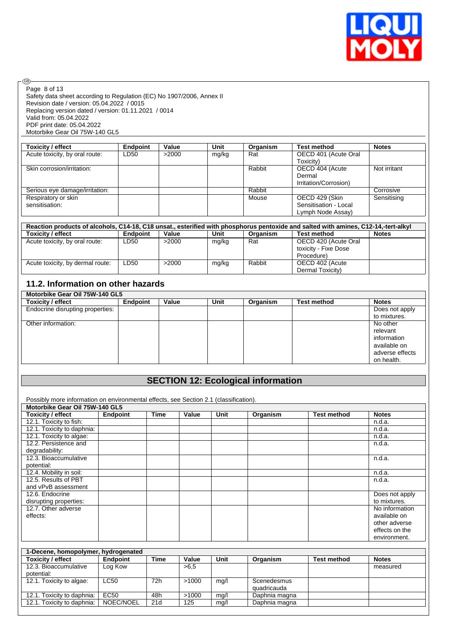

 $\circledcirc$ Page 8 of 13

Safety data sheet according to Regulation (EC) No 1907/2006, Annex II Revision date / version: 05.04.2022 / 0015 Replacing version dated / version: 01.11.2021 / 0014 Valid from: 05.04.2022 PDF print date: 05.04.2022 Motorbike Gear Oil 75W-140 GL5

| Toxicity / effect              | <b>Endpoint</b> | Value | Unit  | Organism | <b>Test method</b>    | <b>Notes</b> |
|--------------------------------|-----------------|-------|-------|----------|-----------------------|--------------|
| Acute toxicity, by oral route: | LD50            | >2000 | mg/kg | Rat      | OECD 401 (Acute Oral  |              |
|                                |                 |       |       |          | Toxicity)             |              |
| Skin corrosion/irritation:     |                 |       |       | Rabbit   | OECD 404 (Acute       | Not irritant |
|                                |                 |       |       |          | Dermal                |              |
|                                |                 |       |       |          | Irritation/Corrosion) |              |
| Serious eye damage/irritation: |                 |       |       | Rabbit   |                       | Corrosive    |
| Respiratory or skin            |                 |       |       | Mouse    | OECD 429 (Skin        | Sensitising  |
| sensitisation:                 |                 |       |       |          | Sensitisation - Local |              |
|                                |                 |       |       |          | Lymph Node Assay)     |              |

| Reaction products of alcohols, C14-18, C18 unsat., esterified with phosphorus pentoxide and salted with amines, C12-14,-tert-alkyl |                 |       |       |          |                      |              |  |  |
|------------------------------------------------------------------------------------------------------------------------------------|-----------------|-------|-------|----------|----------------------|--------------|--|--|
| <b>Toxicity / effect</b>                                                                                                           | <b>Endpoint</b> | Value | Unit  | Organism | <b>Test method</b>   | <b>Notes</b> |  |  |
| Acute toxicity, by oral route:                                                                                                     | LD50            | >2000 | mg/kg | Rat      | OECD 420 (Acute Oral |              |  |  |
|                                                                                                                                    |                 |       |       |          | toxicity - Fixe Dose |              |  |  |
|                                                                                                                                    |                 |       |       |          | Procedure)           |              |  |  |
| Acute toxicity, by dermal route:                                                                                                   | LD50            | >2000 | mg/kg | Rabbit   | OECD 402 (Acute      |              |  |  |
|                                                                                                                                    |                 |       |       |          | Dermal Toxicity)     |              |  |  |

## **11.2. Information on other hazards**

| Motorbike Gear Oil 75W-140 GL5   |          |       |      |          |                    |                 |  |  |
|----------------------------------|----------|-------|------|----------|--------------------|-----------------|--|--|
| Toxicity / effect                | Endpoint | Value | Unit | Organism | <b>Test method</b> | <b>Notes</b>    |  |  |
| Endocrine disrupting properties: |          |       |      |          |                    | Does not apply  |  |  |
|                                  |          |       |      |          |                    | to mixtures.    |  |  |
| Other information:               |          |       |      |          |                    | No other        |  |  |
|                                  |          |       |      |          |                    | relevant        |  |  |
|                                  |          |       |      |          |                    | information     |  |  |
|                                  |          |       |      |          |                    | available on    |  |  |
|                                  |          |       |      |          |                    | adverse effects |  |  |
|                                  |          |       |      |          |                    | on health.      |  |  |

## **SECTION 12: Ecological information**

Possibly more information on environmental effects, see Section 2.1 (classification).

| Motorbike Gear Oil 75W-140 GL5<br>Toxicity / effect | Endpoint | <b>Time</b> | Value | Unit | Organism | <b>Test method</b> | <b>Notes</b>   |
|-----------------------------------------------------|----------|-------------|-------|------|----------|--------------------|----------------|
| 12.1. Toxicity to fish:                             |          |             |       |      |          |                    | n.d.a.         |
| 12.1. Toxicity to daphnia:                          |          |             |       |      |          |                    | n.d.a.         |
| 12.1. Toxicity to algae:                            |          |             |       |      |          |                    | n.d.a.         |
| 12.2. Persistence and                               |          |             |       |      |          |                    | n.d.a.         |
| degradability:                                      |          |             |       |      |          |                    |                |
| 12.3. Bioaccumulative                               |          |             |       |      |          |                    | n.d.a.         |
| potential:                                          |          |             |       |      |          |                    |                |
| 12.4. Mobility in soil:                             |          |             |       |      |          |                    | n.d.a.         |
| 12.5. Results of PBT                                |          |             |       |      |          |                    | n.d.a.         |
| and vPvB assessment                                 |          |             |       |      |          |                    |                |
| 12.6. Endocrine                                     |          |             |       |      |          |                    | Does not apply |
| disrupting properties:                              |          |             |       |      |          |                    | to mixtures.   |
| 12.7. Other adverse                                 |          |             |       |      |          |                    | No information |
| effects:                                            |          |             |       |      |          |                    | available on   |
|                                                     |          |             |       |      |          |                    | other adverse  |
|                                                     |          |             |       |      |          |                    | effects on the |
|                                                     |          |             |       |      |          |                    | environment.   |

| 1-Decene, homopolymer, hydrogenated |      |       |      |               |                    |              |
|-------------------------------------|------|-------|------|---------------|--------------------|--------------|
| <b>Endpoint</b>                     | Time | Value | Unit | Organism      | <b>Test method</b> | <b>Notes</b> |
| Log Kow                             |      | >6.5  |      |               |                    | measured     |
|                                     |      |       |      |               |                    |              |
| LC50                                | 72h  | >1000 | mg/l | Scenedesmus   |                    |              |
|                                     |      |       |      | quadricauda   |                    |              |
| EC50                                | 48h  | >1000 | mg/l | Daphnia magna |                    |              |
| NOEC/NOEL                           | 21 d | 125   | mg/l | Daphnia magna |                    |              |
|                                     |      |       |      |               |                    |              |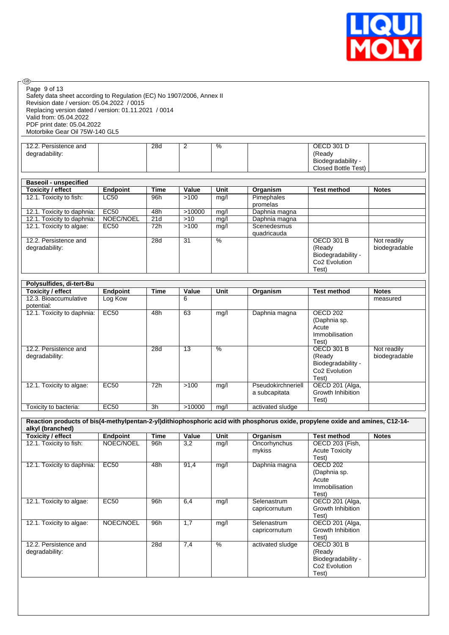

| @ි                                                                                                                                                                                                                                                  |                            |             |                  |                |                                     |                                                                                         |                              |
|-----------------------------------------------------------------------------------------------------------------------------------------------------------------------------------------------------------------------------------------------------|----------------------------|-------------|------------------|----------------|-------------------------------------|-----------------------------------------------------------------------------------------|------------------------------|
| Page 9 of 13<br>Safety data sheet according to Regulation (EC) No 1907/2006, Annex II<br>Revision date / version: 05.04.2022 / 0015<br>Replacing version dated / version: 01.11.2021 / 0014<br>Valid from: 05.04.2022<br>PDF print date: 05.04.2022 |                            |             |                  |                |                                     |                                                                                         |                              |
| Motorbike Gear Oil 75W-140 GL5                                                                                                                                                                                                                      |                            |             |                  |                |                                     |                                                                                         |                              |
| 12.2. Persistence and<br>degradability:                                                                                                                                                                                                             |                            | 28d         | 2                | $\%$           |                                     | <b>OECD 301 D</b><br>(Ready<br>Biodegradability -<br><b>Closed Bottle Test)</b>         |                              |
| <b>Baseoil - unspecified</b>                                                                                                                                                                                                                        |                            |             |                  |                |                                     |                                                                                         |                              |
| <b>Toxicity / effect</b>                                                                                                                                                                                                                            | <b>Endpoint</b>            | <b>Time</b> | Value            | Unit           | Organism                            | <b>Test method</b>                                                                      | <b>Notes</b>                 |
| 12.1. Toxicity to fish:                                                                                                                                                                                                                             | LC50                       | 96h         | >100             | mg/l           | Pimephales<br>promelas              |                                                                                         |                              |
| 12.1. Toxicity to daphnia:                                                                                                                                                                                                                          | <b>EC50</b>                | 48h         | >10000           | mg/l           | Daphnia magna                       |                                                                                         |                              |
| 12.1. Toxicity to daphnia:                                                                                                                                                                                                                          | NOEC/NOEL                  | 21d         | $>10$            | mg/l           | Daphnia magna                       |                                                                                         |                              |
| 12.1. Toxicity to algae:                                                                                                                                                                                                                            | EC <sub>50</sub>           | 72h         | >100             | mg/l           | Scenedesmus<br>quadricauda          |                                                                                         |                              |
| 12.2. Persistence and<br>degradability:                                                                                                                                                                                                             |                            | 28d         | 31               | $\%$           |                                     | <b>OECD 301 B</b><br>(Ready<br>Biodegradability -<br>Co <sub>2</sub> Evolution<br>Test) | Not readily<br>biodegradable |
| Polysulfides, di-tert-Bu                                                                                                                                                                                                                            |                            |             |                  |                |                                     |                                                                                         |                              |
|                                                                                                                                                                                                                                                     |                            |             |                  |                |                                     |                                                                                         |                              |
|                                                                                                                                                                                                                                                     |                            | <b>Time</b> |                  | Unit           |                                     | <b>Test method</b>                                                                      | <b>Notes</b>                 |
| <b>Toxicity / effect</b><br>12.3. Bioaccumulative<br>potential:                                                                                                                                                                                     | <b>Endpoint</b><br>Log Kow |             | Value<br>6       |                | Organism                            |                                                                                         | measured                     |
| 12.1. Toxicity to daphnia:                                                                                                                                                                                                                          | <b>EC50</b>                | 48h         | 63               | mg/l           | Daphnia magna                       | <b>OECD 202</b><br>(Daphnia sp.<br>Acute<br>Immobilisation<br>Test)                     |                              |
| 12.2. Persistence and<br>degradability:                                                                                                                                                                                                             |                            | 28d         | 13               | %              |                                     | <b>OECD 301 B</b><br>(Ready<br>Biodegradability -<br>Co <sub>2</sub> Evolution<br>Test) | Not readily<br>biodegradable |
| 12.1. Toxicity to algae:                                                                                                                                                                                                                            | <b>EC50</b>                | 72h         | >100             | mg/l           | Pseudokirchneriell<br>a subcapitata | OECD 201 (Alga,<br>Growth Inhibition<br>Test)                                           |                              |
| Toxicity to bacteria:                                                                                                                                                                                                                               | <b>EC50</b>                | 3h          | >10000           | mg/l           | activated sludge                    |                                                                                         |                              |
|                                                                                                                                                                                                                                                     |                            |             |                  |                |                                     |                                                                                         |                              |
| Reaction products of bis(4-methylpentan-2-yl)dithiophosphoric acid with phosphorus oxide, propylene oxide and amines, C12-14-<br>alkyl (branched)                                                                                                   |                            |             |                  |                |                                     |                                                                                         |                              |
| <b>Toxicity / effect</b>                                                                                                                                                                                                                            | <b>Endpoint</b>            | <b>Time</b> | Value            | Unit           | Organism                            | <b>Test method</b>                                                                      | <b>Notes</b>                 |
| 12.1. Toxicity to fish:                                                                                                                                                                                                                             | NOEC/NOEL                  | 96h         | $\overline{3,2}$ | mg/l           | Oncorhynchus<br>mykiss              | OECD 203 (Fish,<br><b>Acute Toxicity</b><br>Test)                                       |                              |
| 12.1. Toxicity to daphnia:<br>12.1. Toxicity to algae:                                                                                                                                                                                              | <b>EC50</b><br>FC50        | 48h<br>96h  | 91,4<br>6.4      | mg/l<br>$m0$ / | Daphnia magna<br>Selenastrum        | <b>OECD 202</b><br>(Daphnia sp.<br>Acute<br>Immobilisation<br>Test)<br>OFCD 201 (Alga   |                              |

12.1. Toxicity to algae: EC50 96h 6,4 mg/l Selenastrum capricornutum OECD 201 (Alga, Growth Inhibition Test) 12.1. Toxicity to algae: NOEC/NOEL 96h 1,7 mg/l Selenastrum capricornutum OECD 201 (Alga, Growth Inhibition Test) 12.2. Persistence and degradability: 28d 7,4 % activated sludge (Ready Biodegradability - Co2 Evolution Test)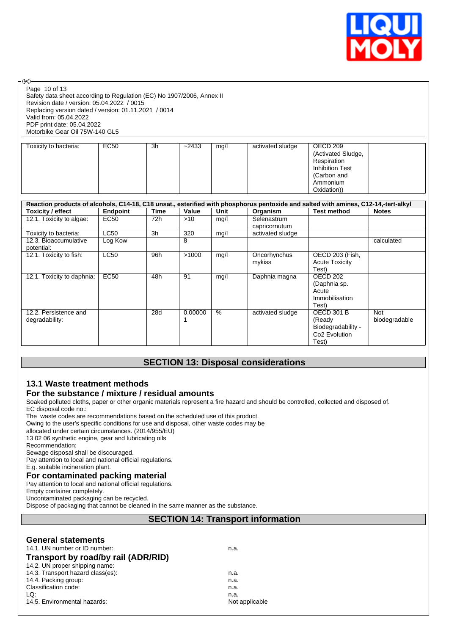

Safety data sheet according to Regulation (EC) No 1907/2006, Annex II Revision date / version: 05.04.2022 / 0015 Replacing version dated / version: 01.11.2021 / 0014 Valid from: 05.04.2022 PDF print date: 05.04.2022 Motorbike Gear Oil 75W-140 GL5 Page 10 of 13

| Toxicity to bacteria: | EC50 | -3h | ~2433 | mg/l | activated sludge | OECD 209<br>(Activated Sludge,<br>Respiration<br><b>Inhibition Test</b><br>(Carbon and |
|-----------------------|------|-----|-------|------|------------------|----------------------------------------------------------------------------------------|
|                       |      |     |       |      |                  | Ammonium                                                                               |
|                       |      |     |       |      |                  | Oxidation))                                                                            |

| Reaction products of alcohols, C14-18, C18 unsat., esterified with phosphorus pentoxide and salted with amines, C12-14,-tert-alkyl |                  |      |         |      |                  |                           |               |
|------------------------------------------------------------------------------------------------------------------------------------|------------------|------|---------|------|------------------|---------------------------|---------------|
| Toxicity / effect                                                                                                                  | Endpoint         | Time | Value   | Unit | Organism         | <b>Test method</b>        | <b>Notes</b>  |
| 12.1. Toxicity to algae:                                                                                                           | EC <sub>50</sub> | 72h  | >10     | mg/l | Selenastrum      |                           |               |
|                                                                                                                                    |                  |      |         |      | capricornutum    |                           |               |
| Toxicity to bacteria:                                                                                                              | <b>LC50</b>      | 3h   | 320     | mq/l | activated sludge |                           |               |
| 12.3. Bioaccumulative                                                                                                              | Log Kow          |      | 8       |      |                  |                           | calculated    |
| potential:                                                                                                                         |                  |      |         |      |                  |                           |               |
| 12.1. Toxicity to fish:                                                                                                            | <b>LC50</b>      | 96h  | >1000   | mq/l | Oncorhynchus     | OECD 203 (Fish,           |               |
|                                                                                                                                    |                  |      |         |      | mykiss           | <b>Acute Toxicity</b>     |               |
|                                                                                                                                    |                  |      |         |      |                  | Test)                     |               |
| 12.1. Toxicity to daphnia:                                                                                                         | EC <sub>50</sub> | 48h  | 91      | mg/l | Daphnia magna    | OECD 202                  |               |
|                                                                                                                                    |                  |      |         |      |                  | (Daphnia sp.              |               |
|                                                                                                                                    |                  |      |         |      |                  | Acute                     |               |
|                                                                                                                                    |                  |      |         |      |                  | Immobilisation            |               |
|                                                                                                                                    |                  |      |         |      |                  | Test)                     |               |
| 12.2. Persistence and                                                                                                              |                  | 28d  | 0.00000 | $\%$ | activated sludge | <b>OECD 301 B</b>         | <b>Not</b>    |
| degradability:                                                                                                                     |                  |      |         |      |                  | (Ready                    | biodegradable |
|                                                                                                                                    |                  |      |         |      |                  | Biodegradability -        |               |
|                                                                                                                                    |                  |      |         |      |                  | Co <sub>2</sub> Evolution |               |
|                                                                                                                                    |                  |      |         |      |                  | Test)                     |               |

## **SECTION 13: Disposal considerations**

## **13.1 Waste treatment methods**

## **For the substance / mixture / residual amounts**

Soaked polluted cloths, paper or other organic materials represent a fire hazard and should be controlled, collected and disposed of. EC disposal code no.:

The waste codes are recommendations based on the scheduled use of this product.

Owing to the user's specific conditions for use and disposal, other waste codes may be

allocated under certain circumstances. (2014/955/EU)

13 02 06 synthetic engine, gear and lubricating oils

Recommendation:

®

Sewage disposal shall be discouraged.

Pay attention to local and national official regulations.

E.g. suitable incineration plant.

**For contaminated packing material** Pay attention to local and national official regulations.

Empty container completely.

Uncontaminated packaging can be recycled.

Dispose of packaging that cannot be cleaned in the same manner as the substance.

## **SECTION 14: Transport information**

#### **General statements**

| 14.1. UN number or ID number:       | n.a.           |  |
|-------------------------------------|----------------|--|
| Transport by road/by rail (ADR/RID) |                |  |
| 14.2. UN proper shipping name:      |                |  |
| 14.3. Transport hazard class(es):   | n.a.           |  |
| 14.4. Packing group:                | n.a.           |  |
| Classification code:                | n.a.           |  |
| LQ:                                 | n.a.           |  |
| 14.5. Environmental hazards:        | Not applicable |  |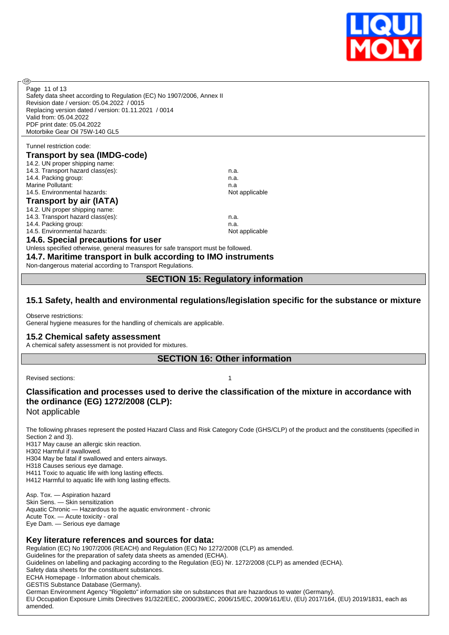

| Page 11 of 13                                                                                                                                                                                                                  |                |  |  |  |  |
|--------------------------------------------------------------------------------------------------------------------------------------------------------------------------------------------------------------------------------|----------------|--|--|--|--|
| Safety data sheet according to Regulation (EC) No 1907/2006, Annex II                                                                                                                                                          |                |  |  |  |  |
| Revision date / version: 05.04.2022 / 0015                                                                                                                                                                                     |                |  |  |  |  |
| Replacing version dated / version: 01.11.2021 / 0014                                                                                                                                                                           |                |  |  |  |  |
| Valid from: 05.04.2022                                                                                                                                                                                                         |                |  |  |  |  |
| PDF print date: 05.04.2022                                                                                                                                                                                                     |                |  |  |  |  |
| Motorbike Gear Oil 75W-140 GL5                                                                                                                                                                                                 |                |  |  |  |  |
|                                                                                                                                                                                                                                |                |  |  |  |  |
| Tunnel restriction code:                                                                                                                                                                                                       |                |  |  |  |  |
| <b>Transport by sea (IMDG-code)</b>                                                                                                                                                                                            |                |  |  |  |  |
| 14.2. UN proper shipping name:                                                                                                                                                                                                 |                |  |  |  |  |
| 14.3. Transport hazard class(es):                                                                                                                                                                                              | n.a.           |  |  |  |  |
| 14.4. Packing group:                                                                                                                                                                                                           | n.a.           |  |  |  |  |
| Marine Pollutant:                                                                                                                                                                                                              | n.a            |  |  |  |  |
| 14.5. Environmental hazards:                                                                                                                                                                                                   | Not applicable |  |  |  |  |
| <b>Transport by air (IATA)</b>                                                                                                                                                                                                 |                |  |  |  |  |
| 14.2. UN proper shipping name:                                                                                                                                                                                                 |                |  |  |  |  |
| 14.3. Transport hazard class(es):                                                                                                                                                                                              | n.a.           |  |  |  |  |
| 14.4. Packing group:                                                                                                                                                                                                           | n.a.           |  |  |  |  |
| 14.5. Environmental hazards:                                                                                                                                                                                                   | Not applicable |  |  |  |  |
| 14.6. Special precautions for user                                                                                                                                                                                             |                |  |  |  |  |
|                                                                                                                                                                                                                                |                |  |  |  |  |
| Unless specified otherwise, general measures for safe transport must be followed.                                                                                                                                              |                |  |  |  |  |
| 14.7. Maritime transport in bulk according to IMO instruments                                                                                                                                                                  |                |  |  |  |  |
| Marcelland and access that a constant and the community of the constant and constant of the constant of the constant of the constant of the constant of the constant of the constant of the constant of the constant of the co |                |  |  |  |  |

Non-dangerous material according to Transport Regulations.

#### **SECTION 15: Regulatory information**

#### **15.1 Safety, health and environmental regulations/legislation specific for the substance or mixture**

Observe restrictions: General hygiene measures for the handling of chemicals are applicable.

#### **15.2 Chemical safety assessment**

A chemical safety assessment is not provided for mixtures.

**SECTION 16: Other information**

Revised sections: 1

# **Classification and processes used to derive the classification of the mixture in accordance with the ordinance (EG) 1272/2008 (CLP):**

Not applicable

The following phrases represent the posted Hazard Class and Risk Category Code (GHS/CLP) of the product and the constituents (specified in Section 2 and 3).

H317 May cause an allergic skin reaction.

H302 Harmful if swallowed. H304 May be fatal if swallowed and enters airways.

H318 Causes serious eye damage.

H411 Toxic to aquatic life with long lasting effects.

H412 Harmful to aquatic life with long lasting effects.

Asp. Tox. — Aspiration hazard Skin Sens. — Skin sensitization Aquatic Chronic — Hazardous to the aquatic environment - chronic Acute Tox. — Acute toxicity - oral Eye Dam. — Serious eye damage

#### **Key literature references and sources for data:**

Regulation (EC) No 1907/2006 (REACH) and Regulation (EC) No 1272/2008 (CLP) as amended.

Guidelines for the preparation of safety data sheets as amended (ECHA).

Guidelines on labelling and packaging according to the Regulation (EG) Nr. 1272/2008 (CLP) as amended (ECHA).

Safety data sheets for the constituent substances.

ECHA Homepage - Information about chemicals.

GESTIS Substance Database (Germany).

German Environment Agency "Rigoletto" information site on substances that are hazardous to water (Germany).

EU Occupation Exposure Limits Directives 91/322/EEC, 2000/39/EC, 2006/15/EC, 2009/161/EU, (EU) 2017/164, (EU) 2019/1831, each as amended.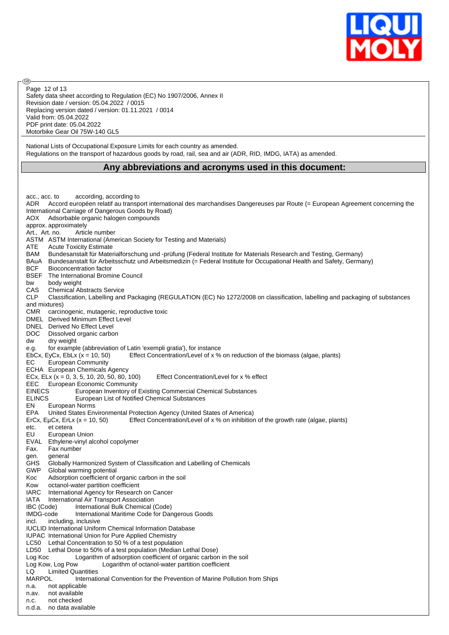

Safety data sheet according to Regulation (EC) No 1907/2006, Annex II Revision date / version: 05.04.2022 / 0015 Replacing version dated / version: 01.11.2021 / 0014 Valid from: 05.04.2022 PDF print date: 05.04.2022 Motorbike Gear Oil 75W-140 GL5 Page 12 of 13

൹

National Lists of Occupational Exposure Limits for each country as amended. Regulations on the transport of hazardous goods by road, rail, sea and air (ADR, RID, IMDG, IATA) as amended.

#### **Any abbreviations and acronyms used in this document:**

acc., acc. to according, according to ADR Accord européen relatif au transport international des marchandises Dangereuses par Route (= European Agreement concerning the International Carriage of Dangerous Goods by Road) AOX Adsorbable organic halogen compounds approx. approximately Art., Art. no. Article number ASTM ASTM International (American Society for Testing and Materials) ATE Acute Toxicity Estimate BAM Bundesanstalt für Materialforschung und -prüfung (Federal Institute for Materials Research and Testing, Germany) BAuA Bundesanstalt für Arbeitsschutz und Arbeitsmedizin (= Federal Institute for Occupational Health and Safety, Germany) BCF Bioconcentration factor BSEF The International Bromine Council bw body weight CAS Chemical Abstracts Service CLP Classification, Labelling and Packaging (REGULATION (EC) No 1272/2008 on classification, labelling and packaging of substances and mixtures) CMR carcinogenic, mutagenic, reproductive toxic DMEL Derived Minimum Effect Level DNEL Derived No Effect Level DOC Dissolved organic carbon dw dry weight e.g. for example (abbreviation of Latin 'exempli gratia'), for instance EbCx, EyCx, EbLx (x = 10, 50) Effect Concentration/Level of x % on reduction of the biomass (algae, plants) EC European Community ECHA European Chemicals Agency ECx, ELx  $(x = 0, 3, 5, 10, 20, 50, 80, 100)$  Effect Concentration/Level for x % effect EEC European Economic Community<br>EINECS European Inventory of European Inventory of Existing Commercial Chemical Substances ELINCS European List of Notified Chemical Substances EN European Norms EPA United States Environmental Protection Agency (United States of America) ErCx, EµCx, ErLx ( $x = 10, 50$ ) Effect Concentration/Level of x % on inhibition of the growth rate (algae, plants) etc. et cetera<br>EU Europea European Union EVAL Ethylene-vinyl alcohol copolymer<br>Fax. Fax number Fax. Fax number gen. general GHS Globally Harmonized System of Classification and Labelling of Chemicals GWP Global warming potential Koc Adsorption coefficient of organic carbon in the soil Kow octanol-water partition coefficient IARC International Agency for Research on Cancer IATA International Air Transport Association<br>IBC (Code) International Bulk Chemical ( IBC (Code) International Bulk Chemical (Code) International Maritime Code for Dangerous Goods incl. including, inclusive IUCLID International Uniform Chemical Information Database IUPAC International Union for Pure Applied Chemistry LC50 Lethal Concentration to 50 % of a test population LD50 Lethal Dose to 50% of a test population (Median Lethal Dose)<br>Log Koc Logarithm of adsorption coefficient of organic carbor Logarithm of adsorption coefficient of organic carbon in the soil Log Kow, Log Pow Logarithm of octanol-water partition coefficient LQ Limited Quantities MARPOL International Convention for the Prevention of Marine Pollution from Ships n.a. not applicable n.av. not available n.c. not checked n.d.a. no data available